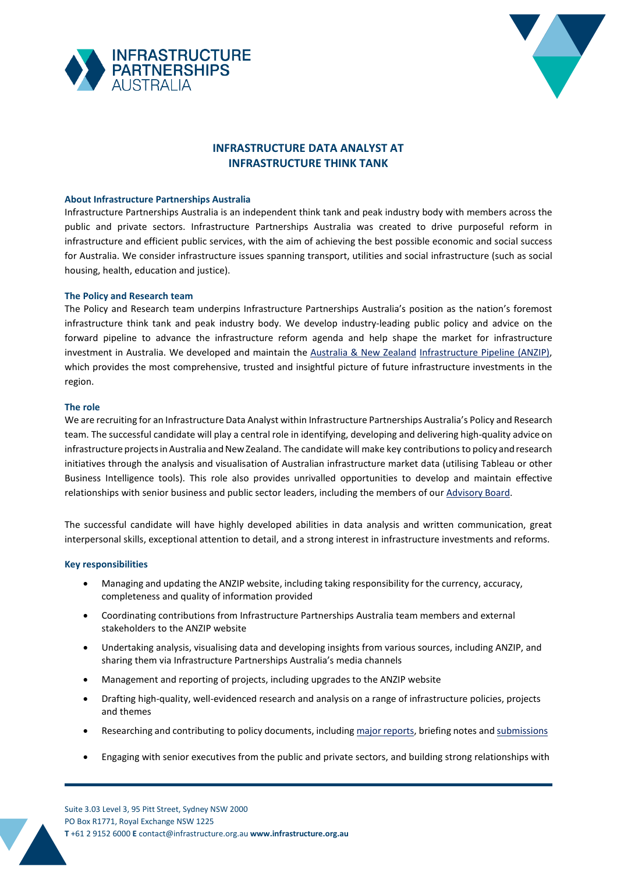



# **INFRASTRUCTURE DATA ANALYST AT INFRASTRUCTURE THINK TANK**

## **About Infrastructure Partnerships Australia**

Infrastructure Partnerships Australia is an independent think tank and peak industry body with members across the public and private sectors. Infrastructure Partnerships Australia was created to drive purposeful reform in infrastructure and efficient public services, with the aim of achieving the best possible economic and social success for Australia. We consider infrastructure issues spanning transport, utilities and social infrastructure (such as social housing, health, education and justice).

# **The Policy and Research team**

The Policy and Research team underpins Infrastructure Partnerships Australia's position as the nation's foremost infrastructure think tank and peak industry body. We develop industry-leading public policy and advice on the forward pipeline to advance the infrastructure reform agenda and help shape the market for infrastructure investment in Australia. We developed and maintain the [Australia & New Zealand](https://infrastructurepipeline.org/) [Infrastructure Pipeline \(](https://infrastructurepipeline.org/)ANZIP), which provides the most comprehensive, trusted and insightful picture of future infrastructure investments in the region.

#### **The role**

We are recruiting for an Infrastructure Data Analyst within Infrastructure Partnerships Australia's Policy and Research team. The successful candidate will play a central role in identifying, developing and delivering high-quality advice on infrastructure projects in Australia and New Zealand. The candidate will make key contributions to policy and research initiatives through the analysis and visualisation of Australian infrastructure market data (utilising Tableau or other Business Intelligence tools). This role also provides unrivalled opportunities to develop and maintain effective relationships with senior business and public sector leaders, including the members of our [Advisory](https://infrastructure.org.au/our-board/) Board.

The successful candidate will have highly developed abilities in data analysis and written communication, great interpersonal skills, exceptional attention to detail, and a strong interest in infrastructure investments and reforms.

#### **Key responsibilities**

- Managing and updating the ANZIP website, including taking responsibility for the currency, accuracy, completeness and quality of information provided
- Coordinating contributions from Infrastructure Partnerships Australia team members and external stakeholders to the ANZIP website
- Undertaking analysis, visualising data and developing insights from various sources, including ANZIP, and sharing them via Infrastructure Partnerships Australia's media channels
- Management and reporting of projects, including upgrades to the ANZIP website
- Drafting high-quality, well-evidenced research and analysis on a range of infrastructure policies, projects and themes
- Researching and contributing to policy documents, including major [reports,](https://infrastructure.org.au/major-reports/) briefing notes and [submissions](https://infrastructure.org.au/submissions/)
- Engaging with senior executives from the public and private sectors, and building strong relationships with